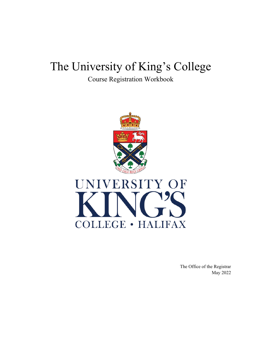# The University of King's College

Course Registration Workbook



The Office of the Registrar May 2022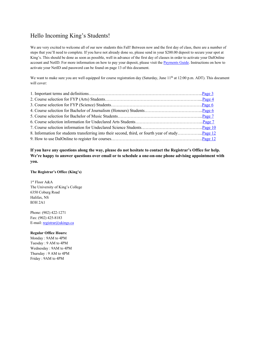# Hello Incoming King's Students!

We are very excited to welcome all of our new students this Fall! Between now and the first day of class, there are a number of steps that you'll need to complete. If you have not already done so, please send in your \$200.00 deposit to secure your spot at King's. This should be done as soon as possible, well in advance of the first day of classes in order to activate your DalOnline account and NetID. For more information on how to pay your deposit, please visit the [Payments Guide.](https://ukings.ca/admissions/finances/payments-guide/) Instructions on how to activate your NetID and password can be found on page 13 of this document.

We want to make sure you are well equipped for course registration day (Saturday, June  $11<sup>th</sup>$  at 12:00 p.m. ADT). This document will cover:

**If you have any questions along the way, please do not hesitate to contact the Registrar's Office for help. We're happy to answer questions over email or to schedule a one-on-one phone advising appointment with you.** 

# **The Registrar's Office (King's)**

1st Floor A&A The University of King's College 6350 Coburg Road Halifax, NS B3H 2A1

Phone: (902) 422-1271 Fax: (902) 425-8183 E-mail: [registrar@ukings.ca](mailto:registrar@ukings.ca)

# **Regular Office Hours:**

Monday : 9AM to 4PM Tuesday : 9 AM to 4PM Wednesday : 9AM to 4PM Thursday : 9 AM to 4PM Friday : 9AM to 4PM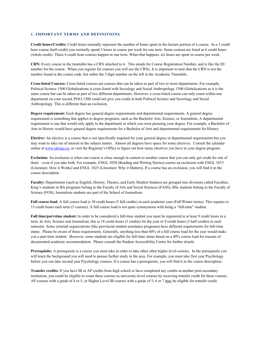#### <span id="page-2-0"></span>**1. IMPORTANT TERMS AND DEFINITIONS**

**Credit hours/Credits:** Credit hours normally represent the number of hours spent in the lecture portion of a course. In a 3 credit hour course (half credit) you normally spend 3 hours in course per week for one term. Some courses are listed as 6 credit hours (whole credit). These 6 credit hour courses happen in one term. When that happens, six hours are spent in course per week.

**CRN:** Every course in the timetable has a CRN attached to it. This stands for Course Registration Number, and is like the ID number for the course. When you register for courses you will use the CRNs. It is important to note that the CRN is not the number found in the course code, but rather the 5 digit number on the left in the Academic Timetable.

**Cross-listed Courses:** Cross-listed courses are courses that can be taken as part of two or more departments. For example, Political Science 1500 Globalizations is cross-listed with Sociology and Social Anthropology 1500 Globalizations as it is the same course but can be taken as part of two different departments. However, a cross-listed course can only count within one department on your record, POLI 1500 could not give you credit in both Political Science and Sociology and Social Anthropology. This is different than an exclusion.

**Degree requirement:** Each degree has general degree requirements and departmental requirements. A general degree requirement is something that applies to degree programs, such as the Bachelor Arts, Science, or Journalism. A departmental requirement is one that would only apply to the department in which you were pursuing your degree. For example, a Bachelor of Arts in History would have general degree requirements for a Bachelor of Arts and departmental requirements for History.

**Elective:** An elective is a course that is not specifically required for your general degree or departmental requirements but you may want to take out of interest in the subject matter. Almost all degrees have space for some electives. Consult the calendar online a[t www.ukings.ca,](http://www.ukings.ca/) or visit the Registrar's Office to figure out how many electives you have in your degree program.

**Exclusion:** An exclusion is when one course is close enough in content to another course that you can only get credit for one of them – even if you take both. For example, ENGL 1030 (Reading and Writing Stories) carries an exclusion with ENGL 1015 (Literature: How it Works) and ENGL 1025 (Literature: Why it Matters). If a course has an exclusion, you will find it in the course description.

**Faculty:** Departments (such as English, History, Theatre, and Early Modern Studies) are grouped into divisions called Faculties. King's students in BA programs belong to the Faculty of Arts and Social Sciences (FASS); BSc students belong to the Faculty of Science (FOS); Journalism students are part of the School of Journalism.

**Full course load:** A full course load is 30 credit hours (5 full credits) in each academic year (Fall/Winter terms). This equates to 15 credit hours each term (5 courses). A full course load is not quite synonymous with being a "full-time" student.

**Full time/part-time student:** In order to be considered a full-time student you must be registered in at least 9 credit hours in a term. In Arts, Science and Journalism, this is 18 credit hours (3 credits) for the year or 9 credit hours (3 half credits) in each semester. Some external organizations (like provincial student assistance programs) have different requirements for full-time status. Please be aware of these requirements. Generally, anything less than 60% of a full course load for the year would make you a part-time student. However, some students are eligible for full-time status based on a 40% course load for reasons of documented academic accommodation. Please consult the Student Accessibility Centre for further details.

**Prerequisite:** A prerequisite is a course you must take in order to take other often higher level-courses. In the prerequisite you will learn the background you will need to pursue further study in the area. For example, you must take first year Psychology before you can take second year Psychology courses. If a course has a prerequisite, you will find it in the course description.

**Transfer credits:** If you have IB or AP credits from high school or have completed any credits at another post-secondary institution, you could be eligible to count these courses as university-level courses by receiving transfer credit for these courses. AP courses with a grade of 4 or 5, or Higher Level IB courses with a grade of 5, 6 or 7 may be eligible for transfer credit.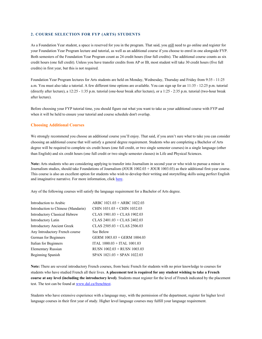#### <span id="page-3-0"></span>**2. COURSE SELECTION FOR FYP (ARTS) STUDENTS**

As a Foundation Year student, a space is reserved for you in the program. That said, you still need to go online and register for your Foundation Year Program lecture and tutorial, as well as an additional course if you choose to enrol in one alongside FYP. Both semesters of the Foundation Year Program count as 24 credit hours (four full credits). The additional course counts as six credit hours (one full credit). Unless you have transfer credits from AP or IB, most student will take 30 credit hours (five full credits) in first year, but this is not required.

Foundation Year Program lectures for Arts students are held on Monday, Wednesday, Thursday and Friday from 9:35 - 11:25 a.m. You must also take a tutorial. A few different time options are available. You can sign up for an 11:35 - 12:25 p.m. tutorial (directly after lecture), a 12:25 - 1:35 p.m. tutorial (one-hour break after lecture), or a 1:25 - 2:35 p.m. tutorial (two-hour break after lecture).

Before choosing your FYP tutorial time, you should figure out what you want to take as your additional course with FYP and when it will be held to ensure your tutorial and course schedule don't overlap.

#### **Choosing Additional Courses**

We strongly recommend you choose an additional course you'll enjoy. That said, if you aren't sure what to take you can consider choosing an additional course that will satisfy a general degree requirement. Students who are completing a Bachelor of Arts degree will be required to complete six credit hours (one full credit, or two single semester courses) in a single language (other than English) and six credit hours (one full credit or two single semester classes) in Life and Physical Sciences.

**Note:** Arts students who are considering applying to transfer into Journalism in second year or who wish to pursue a minor in Journalism studies, should take Foundations of Journalism (JOUR 1002.03 + JOUR 1003.03) as their additional first-year course. This course is also an excellent option for students who wish to develop their writing and storytelling skills using perfect English and imaginative narrative. For more information, clic[k here.](https://ukings.ca/course/foundations-of-journalism/)

Any of the following courses will satisfy the language requirement for a Bachelor of Arts degree.

| Introduction to Arabic             | ARBC 1021.03 + ARBC 1022.03     |
|------------------------------------|---------------------------------|
| Introduction to Chinese (Mandarin) | CHIN 1031.03 + CHIN 1032.03     |
| Introductory Classical Hebrew      | CLAS $1901.03 + CLAS$ $1902.03$ |
| Introductory Latin                 | CLAS $2401.03 + CLAS$ $2402.03$ |
| <b>Introductory Ancient Greek</b>  | CLAS $2505.03 + CLAS$ 2506.03   |
| Any Introductory French course     | See Below                       |
| German for Beginners               | GERM 1003.03 + GERM 1004.03     |
| Italian for Beginners              | ITAL 1000.03 + ITAL 1001.03     |
| Elementary Russian                 | RUSN $1002.03 +$ RUSN $1003.03$ |
| Beginning Spanish                  | $SPAN$ 1021.03 + SPAN 1022.03   |
|                                    |                                 |

**Note:** There are several introductory French courses, from basic French for students with no prior knowledge to courses for students who have studied French all their lives. **A placement test is required for any student wishing to take a French course at any level (including the introductory level)**. Students must register for the level of French indicated by the placement test. The test can be found at [www.dal.ca/frenchtest.](http://www.dal.ca/frenchtest) 

Students who have extensive experience with a language may, with the permission of the department, register for higher level language courses in their first year of study. Higher level language courses may fulfill your language requirement.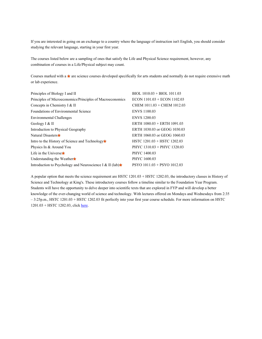If you are interested in going on an exchange to a country where the language of instruction isn't English, you should consider studying the relevant language, starting in your first year.

The courses listed below are a sampling of ones that satisfy the Life and Physical Science requirement, however, any combination of courses in a Life/Physical subject may count.

Courses marked with a  $\bullet$  are science courses developed specifically for arts students and normally do not require extensive math or lab experience.

| Principles of Biology I and II                            | $BIOL$ 1010.03 + BIOL 1011.03   |
|-----------------------------------------------------------|---------------------------------|
| Principles of Microeconomics/Principles of Macroeconomics | $ECON$ 1101.03 + $ECON$ 1102.03 |
| Concepts in Chemistry I & II                              | CHEM 1011.03 + CHEM 1012.03     |
| <b>Foundations of Environmental Science</b>               | <b>ENVS 1100.03</b>             |
| Environmental Challenges                                  | <b>ENVS 1200.03</b>             |
| Geology I & II                                            | ERTH $1080.03 + ERTH$ $1091.03$ |
| Introduction to Physical Geography                        | ERTH 1030.03 or GEOG 1030.03    |
| Natural Disasters <b>F</b>                                | ERTH 1060.03 or GEOG 1060.03    |
| Intro to the History of Science and Technology            | HSTC $1201.03 + HSTC$ $1202.03$ |
| Physics In & Around You                                   | PHYC 1310.03 + PHYC 1320.03     |
| Life in the Universet                                     | PHYC 1400.03                    |
| Understanding the Weather                                 | PHYC 1600.03                    |
| Introduction to Psychology and Neuroscience I & II (lab)  | $PSYO$ 1011.03 + PSYO 1012.03   |

A popular option that meets the science requirement are HSTC 1201.03 + HSTC 1202.03, the introductory classes in History of Science and Technology at King's. These introductory courses follow a timeline similar to the Foundation Year Program. Students will have the opportunity to delve deeper into scientific texts that are explored in FYP and will develop a better knowledge of the ever-changing world of science and technology. With lectures offered on Mondays and Wednesdays from 2:35 – 3:25p.m., HSTC 1201.03 + HSTC 1202.03 fit perfectly into your first year course schedule. For more information on HSTC 1201.03 + HSTC 1202.03, clic[k here.](https://ukings.ca/course/introduction-to-the-history-of-science-i-from-the-ancients-to-the-birth-of-the-modern/)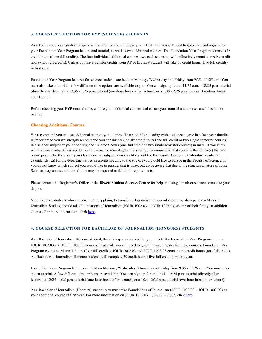#### <span id="page-5-0"></span>**3. COURSE SELECTION FOR FYP (SCIENCE) STUDENTS**

As a Foundation Year student, a space is reserved for you in the program. That said, you still need to go online and register for your Foundation Year Program lecture and tutorial, as well as two additional courses. The Foundation Year Program counts as 18 credit hours (three full credits). The four individual additional courses, two each semester, will collectively count as twelve credit hours (two full credits). Unless you have transfer credits from AP or IB, most student will take 30 credit hours (five full credits) in first year.

Foundation Year Program lectures for science students are held on Monday, Wednesday and Friday from 9:35 - 11:25 a.m. You must also take a tutorial. A few different time options are available to you. You can sign up for an 11:35 a.m. - 12:25 p.m. tutorial (directly after lecture), a 12:35 - 1:25 p.m. tutorial (one-hour break after lecture), or a 1:35 - 2:25 p.m. tutorial (two-hour break after lecture).

Before choosing your FYP tutorial time, choose your additional courses and ensure your tutorial and course schedules do not overlap.

#### **Choosing Additional Courses**

We recommend you choose additional courses you'll enjoy. That said, if graduating with a science degree in a four-year timeline is important to you we strongly recommend you consider taking six credit hours (one full credit or two single semester courses) in a science subject of your choosing and six credit hours (one full credit or two single semester courses) in math. If you know which science subject you would like to pursue for your degree it is strongly recommended that you take the course(s) that are pre-requisites for the upper year classes in that subject. You should consult the **Dalhousie Academic Calendar** (academic calendar.dal.ca) for the departmental requirements specific to the subject you would like to pursue in the Faculty of Science. If you do not know which subject you would like to pursue, that is okay, but do be aware that due to the structured nature of some Science programmes additional time may be required to fulfill all requirements.

Please contact the **Registrar's Office** or the **Bissett Student Success Centre** for help choosing a math or science course for your degree.

**Note:** Science students who are considering applying to transfer to Journalism in second year, or wish to pursue a Minor in Journalism Studies, should take Foundations of Journalism (JOUR 1002.03 + JOUR 1003.03) as one of their first-year additional courses. For more information, clic[k here.](https://ukings.ca/course/foundations-of-journalism/)

# <span id="page-5-1"></span>**4. COURSE SELECTION FOR BACHELOR OF JOURNALISM (HONOURS) STUDENTS**

As a Bachelor of Journalism Honours student, there is a space reserved for you in both the Foundation Year Program and the JOUR 1002.03 and JOUR 1003.03 courses. That said, you still need to go online and register for these courses. Foundation Year Program counts as 24 credit hours (four full credits). JOUR 1002.03 and JOUR 1003.03 count as six credit hours (one full credit). All Bachelor of Journalism Honours students will complete 30 credit hours (five full credits) in first year.

Foundation Year Program lectures are held on Monday, Wednesday, Thursday and Friday from 9:35 - 11:25 a.m. You must also take a tutorial. A few different time options are available. You can sign up for an 11:35 - 12:25 p.m. tutorial (directly after lecture), a 12:25 - 1:35 p.m. tutorial (one-hour break after lecture), or a 1:25 - 2:35 p.m. tutorial (two-hour break after lecture).

As a Bachelor of Journalism (Honours) student, you must take Foundations of Journalism (JOUR 1002.03 + JOUR 1003.03) as your additional course in first year. For more information on JOUR 1002.03 + JOUR 1003.03, click [here.](https://ukings.ca/course/foundations-of-journalism/)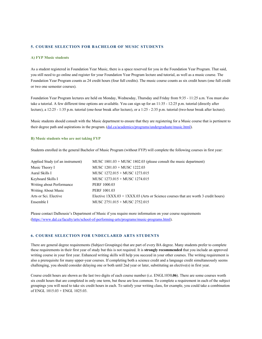# <span id="page-6-0"></span>**5. COURSE SELECTION FOR BACHELOR OF MUSIC STUDENTS**

#### **A) FYP Music students**

As a student registered in Foundation Year Music, there is a space reserved for you in the Foundation Year Program. That said, you still need to go online and register for your Foundation Year Program lecture and tutorial, as well as a music course. The Foundation Year Program counts as 24 credit hours (four full credits). The music course counts as six credit hours (one full credit or two one semester courses).

Foundation Year Program lectures are held on Monday, Wednesday, Thursday and Friday from 9:35 - 11:25 a.m. You must also take a tutorial. A few different time options are available. You can sign up for an 11:35 - 12:25 p.m. tutorial (directly after lecture), a 12:25 - 1:35 p.m. tutorial (one-hour break after lecture), or a 1:25 - 2:35 p.m. tutorial (two-hour break after lecture).

Music students should consult with the Music department to ensure that they are registering for a Music course that is pertinent to their degree path and aspirations in the program. [\(dal.ca/academics/programs/undergraduate/music.html\)](https://www.dal.ca/academics/programs/undergraduate/music.html).

#### **B) Music students who are not taking FYP**

Students enrolled in the general Bachelor of Music Program (without FYP) will complete the following courses in first year:

| Applied Study (of an instrument) | MUSC $1801.03 + MUSC$ 1802.03 (please consult the music department)                  |
|----------------------------------|--------------------------------------------------------------------------------------|
| Music Theory I                   | MUSC 1201.03 + MUSC 1222.03                                                          |
| Aural Skills I                   | MUSC 1272.015 + MUSC 1273.015                                                        |
| Keyboard Skills I                | MUSC 1273.015 + MUSC 1274.015                                                        |
| Writing about Performance        | PERF 1000.03                                                                         |
| Writing About Music              | PERF 1001.03                                                                         |
| Arts or Sci. Elective            | Elective $1XXX.03 + 1XXX.03$ (Arts or Science courses that are worth 3 credit hours) |
| Ensemble I                       | MUSC 2751.015 + MUSC 2752.015                                                        |

Please contact Dalhousie's Department of Music if you require more information on your course requirements [\(https://www.dal.ca/faculty/arts/school-of-performing-arts/programs/music-programs.html\)](https://www.dal.ca/faculty/arts/school-of-performing-arts/programs/music-programs.html).

# <span id="page-6-1"></span>**6. COURSE SELECTION FOR UNDECLARED ARTS STUDENTS**

There are general degree requirements (Subject Groupings) that are part of every BA degree. Many students prefer to complete these requirements in their first year of study but this is not required. It is **strongly recommended** that you include an approved writing course in your first year. Enhanced writing skills will help you succeed in your other courses. The writing requirement is also a prerequisite for many upper-year courses. If completing both a science credit and a language credit simultaneously seems challenging, you should consider delaying one or both until 2nd year or later, substituting an elective(s) in first year.

Course credit hours are shown as the last two digits of each course number (i.e. ENGL1030**.06**). There are some courses worth six credit hours that are completed in only one term, but these are less common. To complete a requirement in each of the subject groupings you will need to take six credit hours in each. To satisfy your writing class, for example, you could take a combination of ENGL 1015.03 + ENGL 1025.03.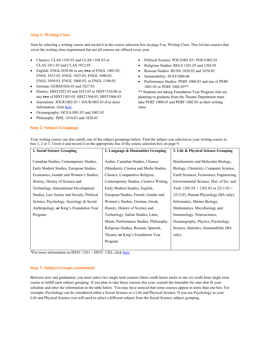# **Step 1: Writing Class**

Start by selecting a writing course and record it in the course selection box on page 9 as, Writing Class. This list has courses that cover the writing class requirement but not all courses are offered every year.

- Classics: CLAS 1103.03 and CLAS 1104.03 or CLAS 1011.03 and CLAS 1012.03
- English: ENGL1030.06 or any **two** of ENGL 1005.03, ENGL 1015.03, ENGL 1025.03, ENGL 1040.03, ENGL 1050.03, ENGL 1060.03, or ENGL 1100.03
- German: GERM1026.03 and 1027.03
- History: HIST1022.03 and 1023.03 or HIST1510.06 or any **two** of HIST1503.03, HIST1504.03, HIST1006.03
- Journalism: JOUR1002.03 + JOUR1003.03 (For more information, click [here.](https://ukings.ca/course/foundations-of-journalism/)
- Oceanography: OCEA1001.03 and 1002.03
- Philosophy: PHIL 1810.03 and 1820.03

**Step 2: Subject Groupings**

- Political Science: POLI1001.03+ POLI1002.03
- Religious Studies: RELS 1201.03 and 1202.03
- Russian Studies: RUSN 1020.03 and 1070.03
- Sustainability: SUST1000.06
- Performance Studies: PERF 1000.03 and one of PERF 1001.03 or PERF 1002.03\*\*

\*\* Students not taking Foundation Year Program who are planning to graduate from the Theatre Department must take PERF 1000.03 and PERF 1002.03 as their writing class.

| 1. Social Science Grouping                  | 2. Language & Humanities Grouping       | 3. Life & Physical Science Grouping      |
|---------------------------------------------|-----------------------------------------|------------------------------------------|
| Canadian Studies, Contemporary Studies,     | Arabic, Canadian Studies, Chinese       | Biochemistry and Molecular Biology,      |
| Early Modern Studies, European Studies,     | (Mandarin), Cinema and Media Studies,   | Biology, Chemistry, Computer Science,    |
| Economics, Gender and Women's Studies,      | Classics, Comparative Religion,         | Earth Sciences, Economics, Engineering,  |
| History, History of Science and             | Contemporary Studies, Creative Writing, | Environmental Science, Hist. of Sci. and |
| Technology, International Development       | Early Modern Studies, English,          | Tech. $1201.03 + 1202.03$ or $2211.03 +$ |
| Studies, Law Justice and Society, Political | European Studies, French, Gender and    | 2212.03, Human Physiology (BA only),     |
| Science, Psychology, Sociology & Social     | Women's Studies, German, Greek,         | Informatics, Marine Biology,             |
| Anthropology, or King's Foundation Year     | History, History of Science and         | Mathematics, Microbiology and            |
| Program.                                    | Technology, Italian Studies, Latin,     | Immunology, Neuroscience,                |
|                                             | Music, Performance Studies, Philosophy, | Oceanography, Physics, Psychology,       |
|                                             | Religious Studies, Russian, Spanish,    | Science, Statistics, Sustainability (BA  |
|                                             | Theatre, or King's Foundation Year      | only).                                   |
|                                             | Program.                                |                                          |
|                                             |                                         |                                          |

Your writing course can also satisfy one of the subject groupings below. Find the subject you selected as your writing course in<br>her 1.2 an2. Girals it and gazeral it on the appropriate line of the source selection her on box 1, 2 or 3. Circle it and record it on the appropriate line of the course selection box on page 9.

\*For more information on HSTC 1201 + HSTC 1202, click here.

# **Step 3: Subject Groups (continued)**

Between now and graduation, you must select two single term courses (three credit hours each) or one six credit hour single term course to fulfill each subject grouping. If you plan to take those courses this year, consult the timetable for ones that fit your schedule and enter the information in the table below. You may have noticed that some courses appear in more than one box. For example, Psychology can be considered either a Social Science or a Life and Physical Science. If you use Psychology as your Life and Physical Science you will need to select a different subject from the Social Science subject grouping.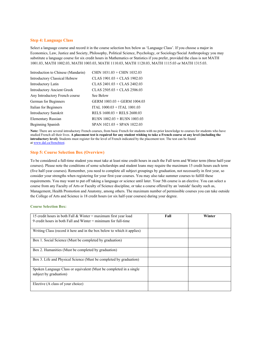### **Step 4: Language Class**

Select a language course and record it in the course selection box below as 'Language Class'. If you choose a major in Economics, Law, Justice and Society, Philosophy, Political Science, Psychology, or Sociology/Social Anthropology you may substitute a language course for six credit hours in Mathematics or Statistics if you prefer, provided the class is not MATH 1001.03, MATH 1002.03, MATH 1003.03, MATH 1110.03, MATH 1120.03, MATH 1115.03 or MATH 1315.03.

| Introduction to Chinese (Mandarin) | CHIN 1031.03 + CHIN 1032.03     |
|------------------------------------|---------------------------------|
| Introductory Classical Hebrew      | CLAS 1901.03 + CLAS 1902.03     |
| Introductory Latin                 | CLAS $2401.03 + CLAS$ $2402.03$ |
| <b>Introductory Ancient Greek</b>  | CLAS $2505.03 + CLAS$ $2506.03$ |
| Any Introductory French course     | See Below                       |
| German for Beginners               | GERM 1003.03 + GERM 1004.03     |
| Italian for Beginners              | ITAL 1000.03 + ITAL 1001.03     |
| <b>Introductory Sanskrit</b>       | RELS $1600.03 + RELS 2600.03$   |
| Elementary Russian                 | RUSN $1002.03 +$ RUSN $1003.03$ |
| Beginning Spanish                  | $SPAN$ 1021.03 + SPAN 1022.03   |
|                                    |                                 |

**Note:** There are several introductory French courses, from basic French for students with no prior knowledge to courses for students who have studied French all their lives. **A placement test is required for any student wishing to take a French course at any level (including the introductory level)**. Students must register for the level of French indicated by the placement test. The test can be found a[t www.dal.ca/frenchtest.](http://www.dal.ca/frenchtest) 

#### **Step 5: Course Selection Box (Overview)**

To be considered a full-time student you must take at least nine credit hours in each the Fall term and Winter term (three half-year courses). Please note the conditions of some scholarships and student loans may require the maximum 15 credit hours each term (five half-year courses). Remember, you need to complete all subject groupings by graduation, not necessarily in first year, so consider your strengths when registering for your first-year courses. You may also take summer courses to fulfill these requirements. You may want to put off taking a language or science until later. Your 5th course is an elective. You can select a course from any Faculty of Arts or Faculty of Science discipline, or take a course offered by an 'outside' faculty such as, Management, Health Promotion and Anatomy, among others. The maximum number of permissible courses you can take outside the College of Arts and Science is 18 credit hours (or six half-year courses) during your degree.

#### **Course Selection Box:**

| 15 credit hours in both Fall & Winter = maximum first year load         | Fall | Winter |
|-------------------------------------------------------------------------|------|--------|
| 9 credit hours in both Fall and Winter $=$ minimum for full-time        |      |        |
|                                                                         |      |        |
| Writing Class (record it here and in the box below to which it applies) |      |        |
| Box 1. Social Science (Must be completed by graduation)                 |      |        |
| Box 2. Humanities (Must be completed by graduation)                     |      |        |
| Box 3. Life and Physical Science (Must be completed by graduation)      |      |        |
| Spoken Language Class or equivalent (Must be completed in a single      |      |        |
| subject by graduation)                                                  |      |        |
| Elective (A class of your choice)                                       |      |        |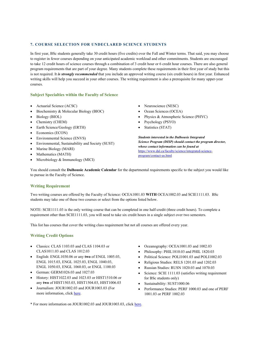# <span id="page-9-0"></span>**7. COURSE SELECTION FOR UNDECLARED SCIENCE STUDENTS**

In first year, BSc students generally take 30 credit hours (five credits) over the Fall and Winter terms. That said, you may choose to register in fewer courses depending on your anticipated academic workload and other commitments. Students are encouraged to take 12 credit hours of science courses through a combination of 3 credit hour or 6 credit hour courses. There are also general program requirements that are part of your degree. Many students complete these requirements in their first year of study but this is not required. It *is strongly recommended* that you include an approved writing course (six credit hours) in first year. Enhanced writing skills will help you succeed in your other courses. The writing requirement is also a prerequisite for many upper-year courses.

# **Subject Specialties within the Faculty of Science**

- Actuarial Science (ACSC)
- Biochemistry & Molecular Biology (BIOC)
- Biology (BIOL)
- Chemistry (CHEM)
- Earth Science/Geology (ERTH)
- Economics (ECON)
- Environmental Science (ENVS)
- Environmental, Sustainability and Society (SUST)
- Marine Biology (MARI)
- Mathematics (MATH)
- Microbiology & Immunology (MICI)
- Neuroscience (NESC)
- Ocean Sciences (OCEA)
- Physics & Atmospheric Science (PHYC)
- Psychology (PSYO)
- Statistics (STAT)

*Students interested in the Dalhousie Integrated Science Program (DISP) should contact the program director, whose contact information can be found at*  [https://www.dal.ca/faculty/science/integrated-science](https://www.dal.ca/faculty/science/integrated-science-program/contact-us.html)[program/contact-us.html](https://www.dal.ca/faculty/science/integrated-science-program/contact-us.html)

You should consult the **Dalhousie Academic Calendar** for the departmental requirements specific to the subject you would like to pursue in the Faculty of Science.

# **Writing Requirement**

Two writing courses are offered by the Faculty of Science: OCEA1001.03 **WITH** OCEA1002.03 and SCIE1111.03. BSc students may take one of these two courses or select from the options listed below.

NOTE: SCIE1111.03 is the only writing course that can be completed in one half-credit (three credit hours). To complete a requirement other than SCIE1111.03, you will need to take six credit hours in a single subject over two semesters.

This list has courses that cover the writing class requirement but not all courses are offered every year.

# **Writing Credit Options**

- Classics: CLAS 1103.03 and CLAS 1104.03 or CLAS1011.03 and CLAS 1012.03
- English: ENGL1030.06 or any **two** of ENGL 1005.03, ENGL 1015.03, ENGL 1025.03, ENGL 1040.03, ENGL 1050.03, ENGL 1060.03, or ENGL 1100.03
- German: GERM1026.03 and 1027.03
- History: HIST1022.03 and 1023.03 or HIST1510.06 or any **two** of HIST1503.03, HIST1504.03, HIST1006.03
- Journalism: JOUR1002.03 and JOUR1003.03 (For more information, clic[k here.](https://ukings.ca/course/foundations-of-journalism/)
- Oceanography: OCEA1001.03 and 1002.03
- Philosophy: PHIL1810.03 and PHIL 1820.03
- Political Science: POLI1001.03 and POLI1002.03
- Religious Studies: RELS 1201.03 and 1202.03
- Russian Studies: RUSN 1020.03 and 1070.03
- Science: SCIE 1111.03 (satisfies writing requirement for BSc students only)
- Sustainability: SUST1000.06
- Performance Studies: PERF 1000.03 and one of PERF 1001.03 or PERF 1002.03

\* For more information on JOUR1002.03 and JOUR1003.03, clic[k here.](https://ukings.ca/course/foundations-of-journalism/)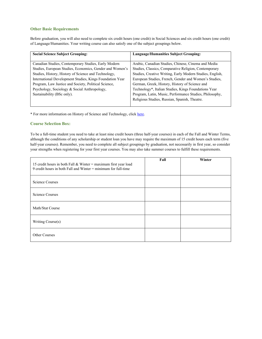# **Other Basic Requirements**

Before graduation, you will also need to complete six credit hours (one credit) in Social Sciences and six credit hours (one credit) of Language/Humanities. Your writing course can also satisfy one of the subject groupings below.

| <b>Social Science Subject Grouping:</b>                  | Language/Humanities Subject Grouping:                     |  |
|----------------------------------------------------------|-----------------------------------------------------------|--|
|                                                          |                                                           |  |
| Canadian Studies, Contemporary Studies, Early Modern     | Arabic, Canadian Studies, Chinese, Cinema and Media       |  |
| Studies, European Studies, Economics, Gender and Women's | Studies, Classics, Comparative Religion, Contemporary     |  |
| Studies, History, History of Science and Technology,     | Studies, Creative Writing, Early Modern Studies, English, |  |
| International Development Studies, Kings Foundation Year | European Studies, French, Gender and Women's Studies,     |  |
| Program, Law Justice and Society, Political Science,     | German, Greek, History, History of Science and            |  |
| Psychology, Sociology & Social Anthropology,             | Technology*, Italian Studies, Kings Foundations Year      |  |
| Sustainability (BSc only).                               | Program, Latin, Music, Performance Studies, Philosophy,   |  |
|                                                          | Religious Studies, Russian, Spanish, Theatre.             |  |
|                                                          |                                                           |  |

\* For more information on History of Science and Technology, click [here.](https://ukings.ca/area-of-study/history-of-science-and-technology/)

# **Course Selection Box:**

To be a full-time student you need to take at least nine credit hours (three half-year courses) in each of the Fall and Winter Terms, although the conditions of any scholarship or student loan you have may require the maximum of 15 credit hours each term (five half-year courses). Remember, you need to complete all subject groupings by graduation, not necessarily in first year, so consider your strengths when registering for your first year courses. You may also take summer courses to fulfill these requirements.

| 15 credit hours in both Fall & Winter = maximum first year load<br>9 credit hours in both Fall and Winter = minimum for full-time | Fall | Winter |
|-----------------------------------------------------------------------------------------------------------------------------------|------|--------|
| Science Courses                                                                                                                   |      |        |
| <b>Science Courses</b>                                                                                                            |      |        |
| Math/Stat Course                                                                                                                  |      |        |
| Writing Course(s)                                                                                                                 |      |        |
| <b>Other Courses</b>                                                                                                              |      |        |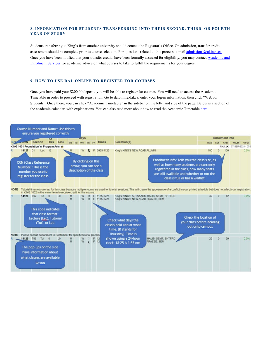# <span id="page-11-0"></span>**8. INFORMATION FOR STUDENTS TRANSFERRING INTO THEIR SECOND, THIRD, OR FOURTH YEAR OF STUDY**

Students transferring to King's from another university should contact the Registrar's Office. On admission, transfer credit assessment should be complete prior to course selection. For questions related to this process, e-mai[l admissions@ukings.ca.](mailto:admissions@ukings.ca) Once you have been notified that your transfer credits have been formally assessed for eligibility, you may contac[t Academic and](https://ukings.ca/campus-community/student-services/academic-services/academic-advising/)  [Enrolment Services f](https://ukings.ca/campus-community/student-services/academic-services/academic-advising/)or academic advice on what courses to take to fulfill the requirements for your degree.

#### <span id="page-11-1"></span>**9. HOW TO USE DAL ONLINE TO REGISTER FOR COURSES**

Once you have paid your \$200.00 deposit, you will be able to register for courses. You will need to access the Academic Timetable in order to proceed with registration. Go to dalonline.dal.ca, enter your log-in information, then click "Web for Students." Once there, you can click "Academic Timetable" in the sidebar on the left-hand side of the page. Below is a section of the academic calendar, with explanations. You can also read more about how to read the Academic Timetable here.